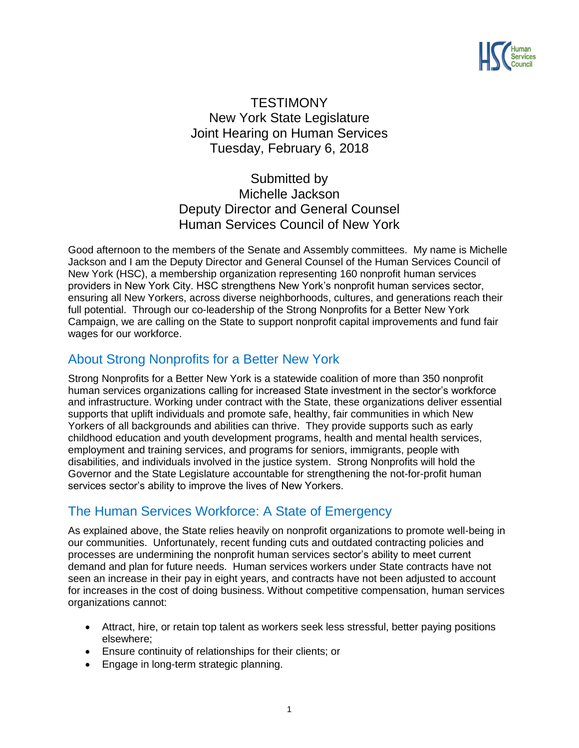

# **TESTIMONY** New York State Legislature Joint Hearing on Human Services Tuesday, February 6, 2018

Submitted by Michelle Jackson Deputy Director and General Counsel Human Services Council of New York

Good afternoon to the members of the Senate and Assembly committees. My name is Michelle Jackson and I am the Deputy Director and General Counsel of the Human Services Council of New York (HSC), a membership organization representing 160 nonprofit human services providers in New York City. HSC strengthens New York's nonprofit human services sector, ensuring all New Yorkers, across diverse neighborhoods, cultures, and generations reach their full potential. Through our co-leadership of the Strong Nonprofits for a Better New York Campaign, we are calling on the State to support nonprofit capital improvements and fund fair wages for our workforce.

## About Strong Nonprofits for a Better New York

Strong Nonprofits for a Better New York is a statewide coalition of more than 350 nonprofit human services organizations calling for increased State investment in the sector's workforce and infrastructure. Working under contract with the State, these organizations deliver essential supports that uplift individuals and promote safe, healthy, fair communities in which New Yorkers of all backgrounds and abilities can thrive. They provide supports such as early childhood education and youth development programs, health and mental health services, employment and training services, and programs for seniors, immigrants, people with disabilities, and individuals involved in the justice system. Strong Nonprofits will hold the Governor and the State Legislature accountable for strengthening the not-for-profit human services sector's ability to improve the lives of New Yorkers.

### The Human Services Workforce: A State of Emergency

As explained above, the State relies heavily on nonprofit organizations to promote well-being in our communities. Unfortunately, recent funding cuts and outdated contracting policies and processes are undermining the nonprofit human services sector's ability to meet current demand and plan for future needs. Human services workers under State contracts have not seen an increase in their pay in eight years, and contracts have not been adjusted to account for increases in the cost of doing business. Without competitive compensation, human services organizations cannot:

- Attract, hire, or retain top talent as workers seek less stressful, better paying positions elsewhere;
- Ensure continuity of relationships for their clients; or
- Engage in long-term strategic planning.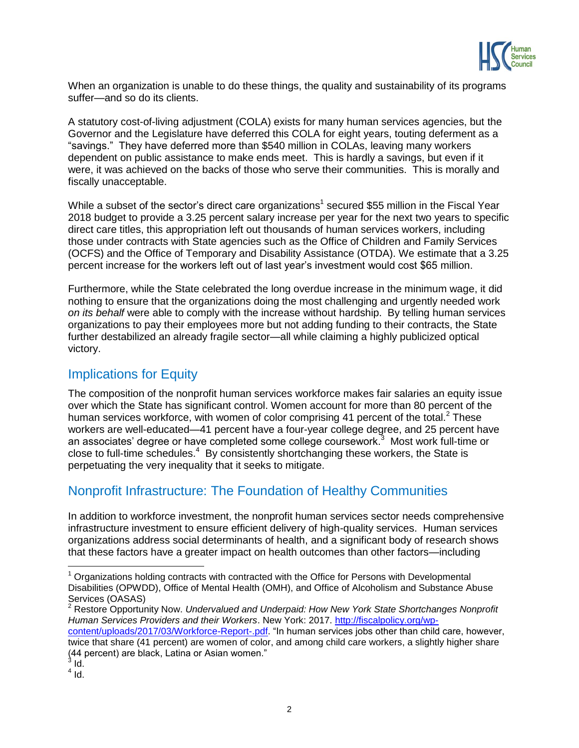

When an organization is unable to do these things, the quality and sustainability of its programs suffer—and so do its clients.

A statutory cost-of-living adjustment (COLA) exists for many human services agencies, but the Governor and the Legislature have deferred this COLA for eight years, touting deferment as a "savings." They have deferred more than \$540 million in COLAs, leaving many workers dependent on public assistance to make ends meet. This is hardly a savings, but even if it were, it was achieved on the backs of those who serve their communities. This is morally and fiscally unacceptable.

While a subset of the sector's direct care organizations<sup>1</sup> secured \$55 million in the Fiscal Year 2018 budget to provide a 3.25 percent salary increase per year for the next two years to specific direct care titles, this appropriation left out thousands of human services workers, including those under contracts with State agencies such as the Office of Children and Family Services (OCFS) and the Office of Temporary and Disability Assistance (OTDA). We estimate that a 3.25 percent increase for the workers left out of last year's investment would cost \$65 million.

Furthermore, while the State celebrated the long overdue increase in the minimum wage, it did nothing to ensure that the organizations doing the most challenging and urgently needed work *on its behalf* were able to comply with the increase without hardship. By telling human services organizations to pay their employees more but not adding funding to their contracts, the State further destabilized an already fragile sector—all while claiming a highly publicized optical victory.

#### Implications for Equity

The composition of the nonprofit human services workforce makes fair salaries an equity issue over which the State has significant control. Women account for more than 80 percent of the human services workforce, with women of color comprising 41 percent of the total. $2$  These workers are well-educated—41 percent have a four-year college degree, and 25 percent have an associates' degree or have completed some college coursework.<sup>3</sup> Most work full-time or close to full-time schedules.<sup>4</sup> By consistently shortchanging these workers, the State is perpetuating the very inequality that it seeks to mitigate.

# Nonprofit Infrastructure: The Foundation of Healthy Communities

In addition to workforce investment, the nonprofit human services sector needs comprehensive infrastructure investment to ensure efficient delivery of high-quality services. Human services organizations address social determinants of health, and a significant body of research shows that these factors have a greater impact on health outcomes than other factors—including

 $\overline{\phantom{a}}$ 

 $<sup>1</sup>$  Organizations holding contracts with contracted with the Office for Persons with Developmental</sup> Disabilities (OPWDD), Office of Mental Health (OMH), and Office of Alcoholism and Substance Abuse Services (OASAS)

<sup>2</sup> Restore Opportunity Now. *Undervalued and Underpaid: How New York State Shortchanges Nonprofit Human Services Providers and their Workers*. New York: 2017. [http://fiscalpolicy.org/wp](http://fiscalpolicy.org/wp-content/uploads/2017/03/Workforce-Report-.pdf)[content/uploads/2017/03/Workforce-Report-.pdf.](http://fiscalpolicy.org/wp-content/uploads/2017/03/Workforce-Report-.pdf) "In human services jobs other than child care, however, twice that share (41 percent) are women of color, and among child care workers, a slightly higher share (44 percent) are black, Latina or Asian women." 3

Id.

 $<sup>4</sup>$  Id.</sup>